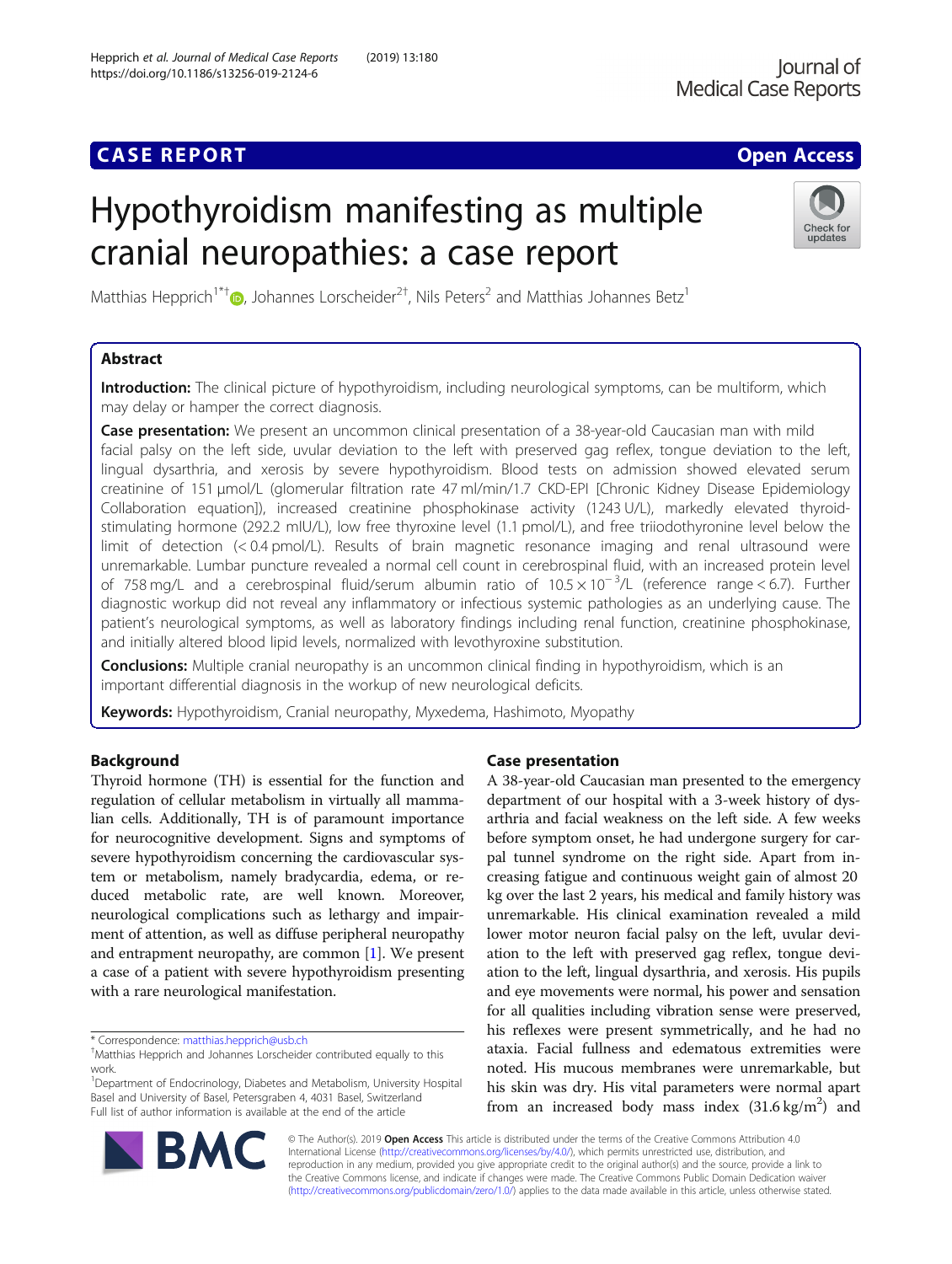# **CASE REPORT CASE ACCESS**

# Hypothyroidism manifesting as multiple cranial neuropathies: a case report



Matthias Hepprich<sup>1\*†</sup> $\bullet$ [,](http://orcid.org/0000-0002-6905-6235) Johannes Lorscheider<sup>2†</sup>, Nils Peters<sup>2</sup> and Matthias Johannes Betz<sup>1</sup>

# Abstract

Introduction: The clinical picture of hypothyroidism, including neurological symptoms, can be multiform, which may delay or hamper the correct diagnosis.

Case presentation: We present an uncommon clinical presentation of a 38-year-old Caucasian man with mild facial palsy on the left side, uvular deviation to the left with preserved gag reflex, tongue deviation to the left, lingual dysarthria, and xerosis by severe hypothyroidism. Blood tests on admission showed elevated serum creatinine of 151 μmol/L (glomerular filtration rate 47 ml/min/1.7 CKD-EPI [Chronic Kidney Disease Epidemiology Collaboration equation]), increased creatinine phosphokinase activity (1243 U/L), markedly elevated thyroidstimulating hormone (292.2 mIU/L), low free thyroxine level (1.1 pmol/L), and free triiodothyronine level below the limit of detection (< 0.4 pmol/L). Results of brain magnetic resonance imaging and renal ultrasound were unremarkable. Lumbar puncture revealed a normal cell count in cerebrospinal fluid, with an increased protein level of 758 mg/L and a cerebrospinal fluid/serum albumin ratio of 10.5 × 10<sup>-3</sup>/L (reference range < 6.7). Further diagnostic workup did not reveal any inflammatory or infectious systemic pathologies as an underlying cause. The patient's neurological symptoms, as well as laboratory findings including renal function, creatinine phosphokinase, and initially altered blood lipid levels, normalized with levothyroxine substitution.

**Conclusions:** Multiple cranial neuropathy is an uncommon clinical finding in hypothyroidism, which is an important differential diagnosis in the workup of new neurological deficits.

Keywords: Hypothyroidism, Cranial neuropathy, Myxedema, Hashimoto, Myopathy

# Background

Thyroid hormone (TH) is essential for the function and regulation of cellular metabolism in virtually all mammalian cells. Additionally, TH is of paramount importance for neurocognitive development. Signs and symptoms of severe hypothyroidism concerning the cardiovascular system or metabolism, namely bradycardia, edema, or reduced metabolic rate, are well known. Moreover, neurological complications such as lethargy and impairment of attention, as well as diffuse peripheral neuropathy and entrapment neuropathy, are common [\[1](#page-3-0)]. We present a case of a patient with severe hypothyroidism presenting with a rare neurological manifestation.

\* Correspondence: [matthias.hepprich@usb.ch](mailto:matthias.hepprich@usb.ch) †

# Case presentation

A 38-year-old Caucasian man presented to the emergency department of our hospital with a 3-week history of dysarthria and facial weakness on the left side. A few weeks before symptom onset, he had undergone surgery for carpal tunnel syndrome on the right side. Apart from increasing fatigue and continuous weight gain of almost 20 kg over the last 2 years, his medical and family history was unremarkable. His clinical examination revealed a mild lower motor neuron facial palsy on the left, uvular deviation to the left with preserved gag reflex, tongue deviation to the left, lingual dysarthria, and xerosis. His pupils and eye movements were normal, his power and sensation for all qualities including vibration sense were preserved, his reflexes were present symmetrically, and he had no ataxia. Facial fullness and edematous extremities were noted. His mucous membranes were unremarkable, but his skin was dry. His vital parameters were normal apart from an increased body mass index  $(31.6 \text{ kg/m}^2)$  and



© The Author(s). 2019 Open Access This article is distributed under the terms of the Creative Commons Attribution 4.0 International License [\(http://creativecommons.org/licenses/by/4.0/](http://creativecommons.org/licenses/by/4.0/)), which permits unrestricted use, distribution, and reproduction in any medium, provided you give appropriate credit to the original author(s) and the source, provide a link to the Creative Commons license, and indicate if changes were made. The Creative Commons Public Domain Dedication waiver [\(http://creativecommons.org/publicdomain/zero/1.0/](http://creativecommons.org/publicdomain/zero/1.0/)) applies to the data made available in this article, unless otherwise stated.

Matthias Hepprich and Johannes Lorscheider contributed equally to this work.

<sup>&</sup>lt;sup>1</sup>Department of Endocrinology, Diabetes and Metabolism, University Hospital Basel and University of Basel, Petersgraben 4, 4031 Basel, Switzerland Full list of author information is available at the end of the article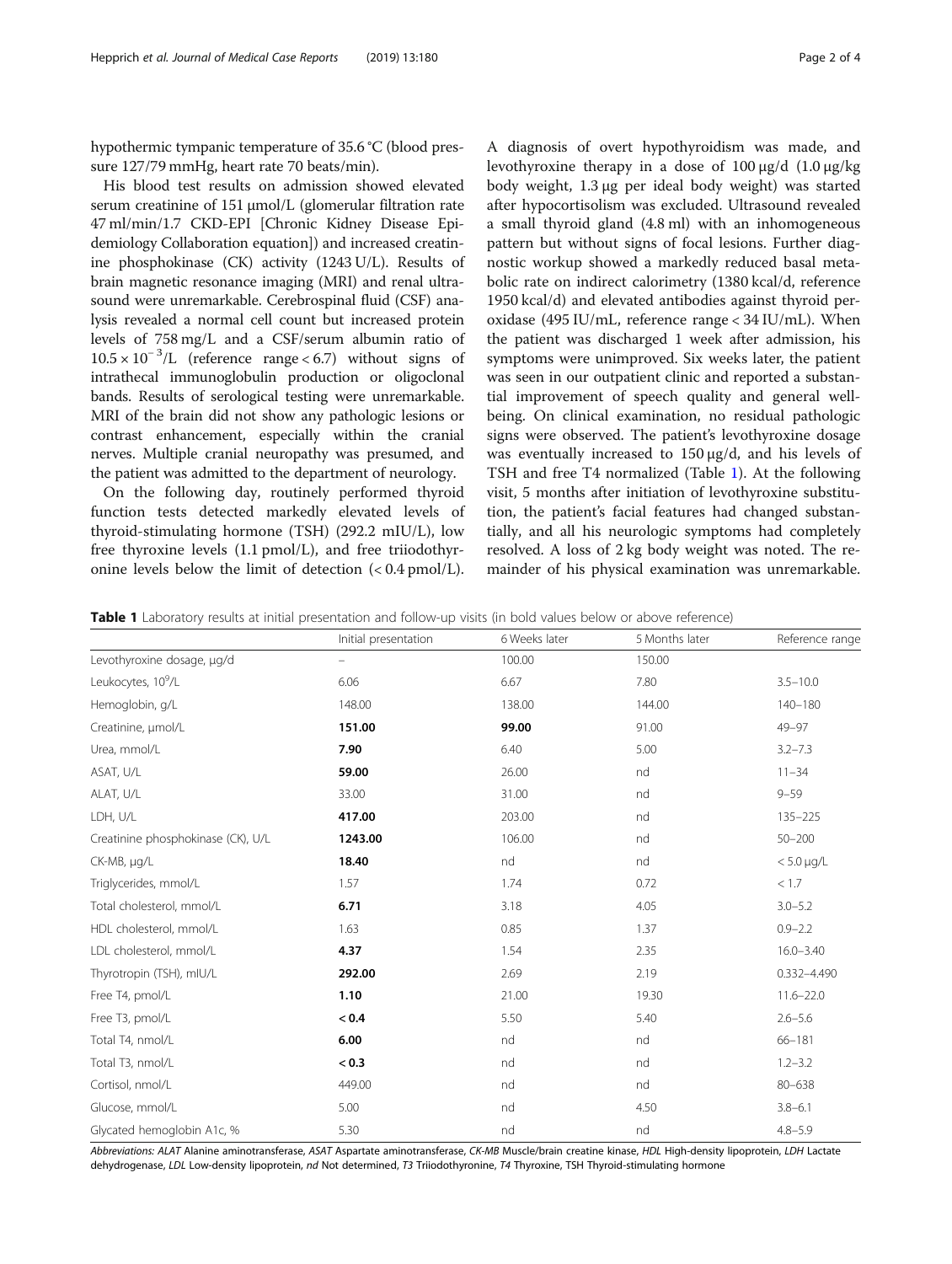hypothermic tympanic temperature of 35.6 °C (blood pressure 127/79 mmHg, heart rate 70 beats/min).

His blood test results on admission showed elevated serum creatinine of 151 μmol/L (glomerular filtration rate 47 ml/min/1.7 CKD-EPI [Chronic Kidney Disease Epidemiology Collaboration equation]) and increased creatinine phosphokinase (CK) activity (1243 U/L). Results of brain magnetic resonance imaging (MRI) and renal ultrasound were unremarkable. Cerebrospinal fluid (CSF) analysis revealed a normal cell count but increased protein levels of 758 mg/L and a CSF/serum albumin ratio of 10.5 × 10<sup>−</sup> <sup>3</sup> /L (reference range < 6.7) without signs of intrathecal immunoglobulin production or oligoclonal bands. Results of serological testing were unremarkable. MRI of the brain did not show any pathologic lesions or contrast enhancement, especially within the cranial nerves. Multiple cranial neuropathy was presumed, and the patient was admitted to the department of neurology.

On the following day, routinely performed thyroid function tests detected markedly elevated levels of thyroid-stimulating hormone (TSH) (292.2 mIU/L), low free thyroxine levels (1.1 pmol/L), and free triiodothyronine levels below the limit of detection  $\left( < 0.4 \text{ pmol/L} \right)$ . A diagnosis of overt hypothyroidism was made, and levothyroxine therapy in a dose of 100 μg/d (1.0 μg/kg body weight, 1.3 μg per ideal body weight) was started after hypocortisolism was excluded. Ultrasound revealed a small thyroid gland (4.8 ml) with an inhomogeneous pattern but without signs of focal lesions. Further diagnostic workup showed a markedly reduced basal metabolic rate on indirect calorimetry (1380 kcal/d, reference 1950 kcal/d) and elevated antibodies against thyroid peroxidase (495 IU/mL, reference range < 34 IU/mL). When the patient was discharged 1 week after admission, his symptoms were unimproved. Six weeks later, the patient was seen in our outpatient clinic and reported a substantial improvement of speech quality and general wellbeing. On clinical examination, no residual pathologic signs were observed. The patient's levothyroxine dosage was eventually increased to 150 μg/d, and his levels of TSH and free T4 normalized (Table 1). At the following visit, 5 months after initiation of levothyroxine substitution, the patient's facial features had changed substantially, and all his neurologic symptoms had completely resolved. A loss of 2 kg body weight was noted. The re-

mainder of his physical examination was unremarkable.

Table 1 Laboratory results at initial presentation and follow-up visits (in bold values below or above reference)

|                                    | Initial presentation | 6 Weeks later | 5 Months later | Reference range |
|------------------------------------|----------------------|---------------|----------------|-----------------|
| Levothyroxine dosage, µg/d         | $\qquad \qquad -$    | 100.00        | 150.00         |                 |
| Leukocytes, 10 <sup>9</sup> /L     | 6.06                 | 6.67          | 7.80           | $3.5 - 10.0$    |
| Hemoglobin, g/L                    | 148.00               | 138.00        | 144.00         | $140 - 180$     |
| Creatinine, µmol/L                 | 151.00               | 99.00         | 91.00          | $49 - 97$       |
| Urea, mmol/L                       | 7.90                 | 6.40          | 5.00           | $3.2 - 7.3$     |
| ASAT, U/L                          | 59.00                | 26.00         | nd             | $11 - 34$       |
| ALAT, U/L                          | 33.00                | 31.00         | nd             | $9 - 59$        |
| LDH, U/L                           | 417.00               | 203.00        | nd             | $135 - 225$     |
| Creatinine phosphokinase (CK), U/L | 1243.00              | 106.00        | nd             | $50 - 200$      |
| CK-MB, µg/L                        | 18.40                | nd            | nd             | $< 5.0 \mu q/L$ |
| Triglycerides, mmol/L              | 1.57                 | 1.74          | 0.72           | < 1.7           |
| Total cholesterol, mmol/L          | 6.71                 | 3.18          | 4.05           | $3.0 - 5.2$     |
| HDL cholesterol, mmol/L            | 1.63                 | 0.85          | 1.37           | $0.9 - 2.2$     |
| LDL cholesterol, mmol/L            | 4.37                 | 1.54          | 2.35           | $16.0 - 3.40$   |
| Thyrotropin (TSH), mIU/L           | 292.00               | 2.69          | 2.19           | 0.332-4.490     |
| Free T4, pmol/L                    | 1.10                 | 21.00         | 19.30          | $11.6 - 22.0$   |
| Free T3, pmol/L                    | < 0.4                | 5.50          | 5.40           | $2.6 - 5.6$     |
| Total T4, nmol/L                   | 6.00                 | nd            | nd             | $66 - 181$      |
| Total T3, nmol/L                   | < 0.3                | nd            | nd             | $1.2 - 3.2$     |
| Cortisol, nmol/L                   | 449.00               | nd            | nd             | 80-638          |
| Glucose, mmol/L                    | 5.00                 | nd            | 4.50           | $3.8 - 6.1$     |
| Glycated hemoglobin A1c, %         | 5.30                 | nd            | nd             | $4.8 - 5.9$     |

Abbreviations: ALAT Alanine aminotransferase, ASAT Aspartate aminotransferase, CK-MB Muscle/brain creatine kinase, HDL High-density lipoprotein, LDH Lactate dehydrogenase, LDL Low-density lipoprotein, nd Not determined, T3 Triiodothyronine, T4 Thyroxine, TSH Thyroid-stimulating hormone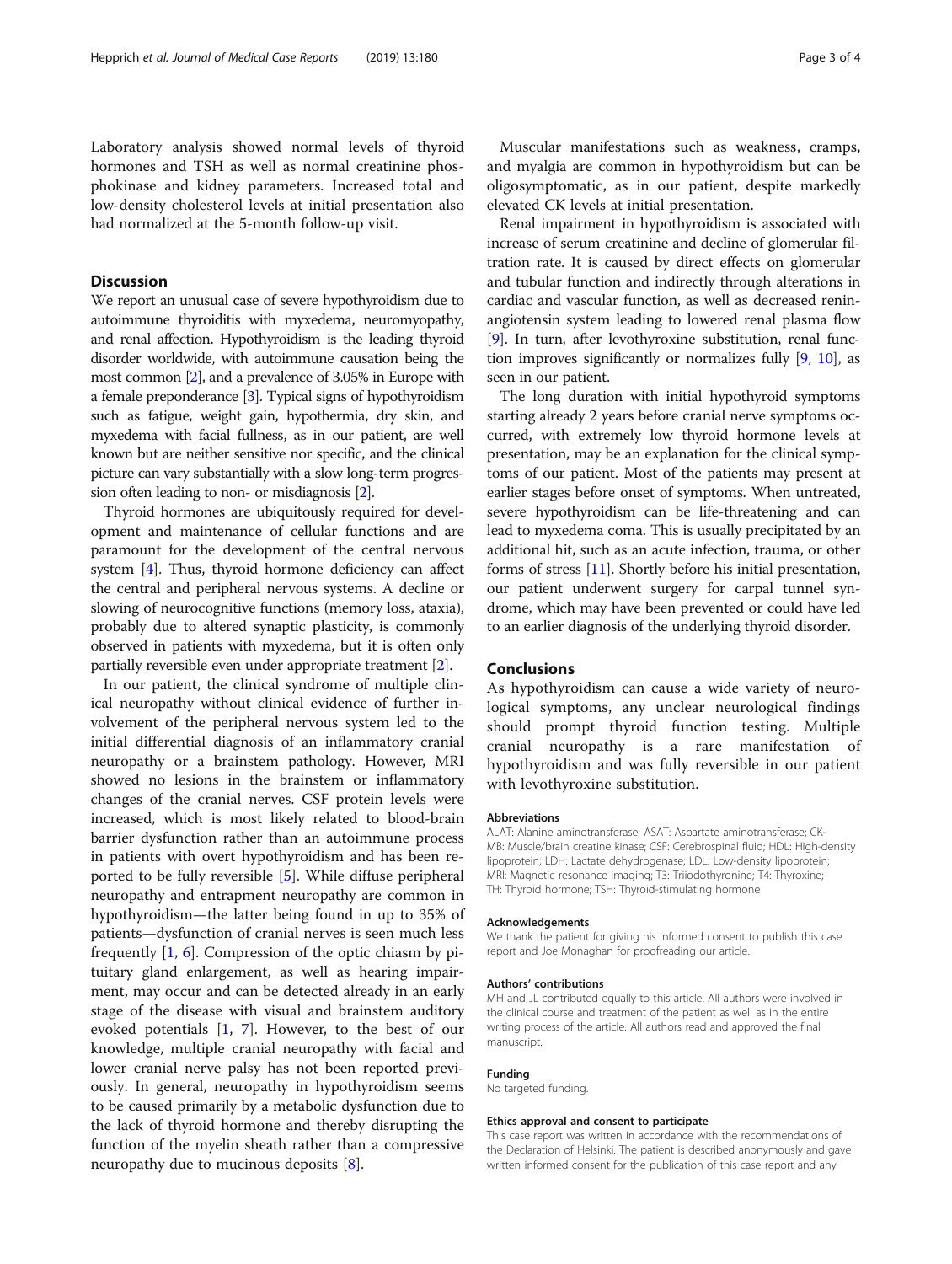Laboratory analysis showed normal levels of thyroid hormones and TSH as well as normal creatinine phosphokinase and kidney parameters. Increased total and low-density cholesterol levels at initial presentation also had normalized at the 5-month follow-up visit.

# **Discussion**

We report an unusual case of severe hypothyroidism due to autoimmune thyroiditis with myxedema, neuromyopathy, and renal affection. Hypothyroidism is the leading thyroid disorder worldwide, with autoimmune causation being the most common [\[2\]](#page-3-0), and a prevalence of 3.05% in Europe with a female preponderance [[3](#page-3-0)]. Typical signs of hypothyroidism such as fatigue, weight gain, hypothermia, dry skin, and myxedema with facial fullness, as in our patient, are well known but are neither sensitive nor specific, and the clinical picture can vary substantially with a slow long-term progression often leading to non- or misdiagnosis [\[2\]](#page-3-0).

Thyroid hormones are ubiquitously required for development and maintenance of cellular functions and are paramount for the development of the central nervous system [\[4](#page-3-0)]. Thus, thyroid hormone deficiency can affect the central and peripheral nervous systems. A decline or slowing of neurocognitive functions (memory loss, ataxia), probably due to altered synaptic plasticity, is commonly observed in patients with myxedema, but it is often only partially reversible even under appropriate treatment [\[2](#page-3-0)].

In our patient, the clinical syndrome of multiple clinical neuropathy without clinical evidence of further involvement of the peripheral nervous system led to the initial differential diagnosis of an inflammatory cranial neuropathy or a brainstem pathology. However, MRI showed no lesions in the brainstem or inflammatory changes of the cranial nerves. CSF protein levels were increased, which is most likely related to blood-brain barrier dysfunction rather than an autoimmune process in patients with overt hypothyroidism and has been reported to be fully reversible [\[5](#page-3-0)]. While diffuse peripheral neuropathy and entrapment neuropathy are common in hypothyroidism—the latter being found in up to 35% of patients—dysfunction of cranial nerves is seen much less frequently [\[1](#page-3-0), [6](#page-3-0)]. Compression of the optic chiasm by pituitary gland enlargement, as well as hearing impairment, may occur and can be detected already in an early stage of the disease with visual and brainstem auditory evoked potentials [[1,](#page-3-0) [7\]](#page-3-0). However, to the best of our knowledge, multiple cranial neuropathy with facial and lower cranial nerve palsy has not been reported previously. In general, neuropathy in hypothyroidism seems to be caused primarily by a metabolic dysfunction due to the lack of thyroid hormone and thereby disrupting the function of the myelin sheath rather than a compressive neuropathy due to mucinous deposits [[8\]](#page-3-0).

Muscular manifestations such as weakness, cramps, and myalgia are common in hypothyroidism but can be oligosymptomatic, as in our patient, despite markedly elevated CK levels at initial presentation.

Renal impairment in hypothyroidism is associated with increase of serum creatinine and decline of glomerular filtration rate. It is caused by direct effects on glomerular and tubular function and indirectly through alterations in cardiac and vascular function, as well as decreased reninangiotensin system leading to lowered renal plasma flow [[9\]](#page-3-0). In turn, after levothyroxine substitution, renal function improves significantly or normalizes fully [[9,](#page-3-0) [10](#page-3-0)], as seen in our patient.

The long duration with initial hypothyroid symptoms starting already 2 years before cranial nerve symptoms occurred, with extremely low thyroid hormone levels at presentation, may be an explanation for the clinical symptoms of our patient. Most of the patients may present at earlier stages before onset of symptoms. When untreated, severe hypothyroidism can be life-threatening and can lead to myxedema coma. This is usually precipitated by an additional hit, such as an acute infection, trauma, or other forms of stress [[11](#page-3-0)]. Shortly before his initial presentation, our patient underwent surgery for carpal tunnel syndrome, which may have been prevented or could have led to an earlier diagnosis of the underlying thyroid disorder.

## Conclusions

As hypothyroidism can cause a wide variety of neurological symptoms, any unclear neurological findings should prompt thyroid function testing. Multiple cranial neuropathy is a rare manifestation of hypothyroidism and was fully reversible in our patient with levothyroxine substitution.

## Abbreviations

ALAT: Alanine aminotransferase; ASAT: Aspartate aminotransferase; CK-MB: Muscle/brain creatine kinase; CSF: Cerebrospinal fluid; HDL: High-density lipoprotein; LDH: Lactate dehydrogenase; LDL: Low-density lipoprotein; MRI: Magnetic resonance imaging; T3: Triiodothyronine; T4: Thyroxine; TH: Thyroid hormone; TSH: Thyroid-stimulating hormone

#### Acknowledgements

We thank the patient for giving his informed consent to publish this case report and Joe Monaghan for proofreading our article.

#### Authors' contributions

MH and JL contributed equally to this article. All authors were involved in the clinical course and treatment of the patient as well as in the entire writing process of the article. All authors read and approved the final manuscript.

#### Funding

No targeted funding.

#### Ethics approval and consent to participate

This case report was written in accordance with the recommendations of the Declaration of Helsinki. The patient is described anonymously and gave written informed consent for the publication of this case report and any